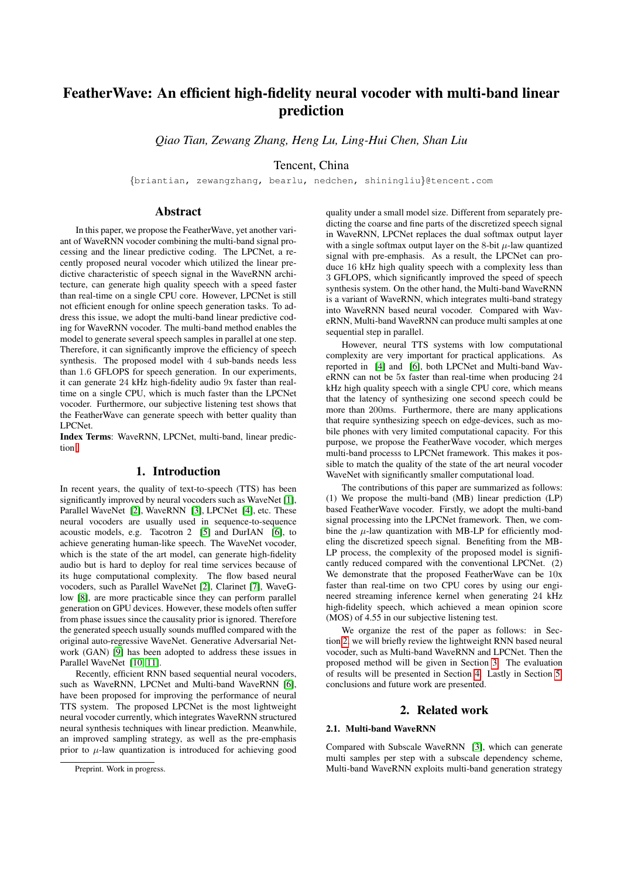# FeatherWave: An efficient high-fidelity neural vocoder with multi-band linear prediction

*Qiao Tian, Zewang Zhang, Heng Lu, Ling-Hui Chen, Shan Liu*

Tencent, China

{briantian, zewangzhang, bearlu, nedchen, shiningliu}@tencent.com

# Abstract

In this paper, we propose the FeatherWave, yet another variant of WaveRNN vocoder combining the multi-band signal processing and the linear predictive coding. The LPCNet, a recently proposed neural vocoder which utilized the linear predictive characteristic of speech signal in the WaveRNN architecture, can generate high quality speech with a speed faster than real-time on a single CPU core. However, LPCNet is still not efficient enough for online speech generation tasks. To address this issue, we adopt the multi-band linear predictive coding for WaveRNN vocoder. The multi-band method enables the model to generate several speech samples in parallel at one step. Therefore, it can significantly improve the efficiency of speech synthesis. The proposed model with 4 sub-bands needs less than 1.6 GFLOPS for speech generation. In our experiments, it can generate 24 kHz high-fidelity audio 9x faster than realtime on a single CPU, which is much faster than the LPCNet vocoder. Furthermore, our subjective listening test shows that the FeatherWave can generate speech with better quality than LPCNet.

Index Terms: WaveRNN, LPCNet, multi-band, linear prediction

## 1. Introduction

In recent years, the quality of text-to-speech (TTS) has been significantly improved by neural vocoders such as WaveNet [\[1\]](#page-4-0), Parallel WaveNet [\[2\]](#page-4-1), WaveRNN [\[3\]](#page-4-2), LPCNet [\[4\]](#page-4-3), etc. These neural vocoders are usually used in sequence-to-sequence acoustic models, e.g. Tacotron 2 [\[5\]](#page-4-4) and DurIAN [\[6\]](#page-4-5), to achieve generating human-like speech. The WaveNet vocoder, which is the state of the art model, can generate high-fidelity audio but is hard to deploy for real time services because of its huge computational complexity. The flow based neural vocoders, such as Parallel WaveNet [\[2\]](#page-4-1), Clarinet [\[7\]](#page-4-6), WaveGlow [\[8\]](#page-4-7), are more practicable since they can perform parallel generation on GPU devices. However, these models often suffer from phase issues since the causality prior is ignored. Therefore the generated speech usually sounds muffled compared with the original auto-regressive WaveNet. Generative Adversarial Network (GAN) [\[9\]](#page-4-8) has been adopted to address these issues in Parallel WaveNet [\[10,](#page-4-9) [11\]](#page-4-10).

Recently, efficient RNN based sequential neural vocoders, such as WaveRNN, LPCNet and Multi-band WaveRNN [\[6\]](#page-4-5), have been proposed for improving the performance of neural TTS system. The proposed LPCNet is the most lightweight neural vocoder currently, which integrates WaveRNN structured neural synthesis techniques with linear prediction. Meanwhile, an improved sampling strategy, as well as the pre-emphasis prior to  $\mu$ -law quantization is introduced for achieving good quality under a small model size. Different from separately predicting the coarse and fine parts of the discretized speech signal in WaveRNN, LPCNet replaces the dual softmax output layer with a single softmax output layer on the 8-bit  $\mu$ -law quantized signal with pre-emphasis. As a result, the LPCNet can produce 16 kHz high quality speech with a complexity less than 3 GFLOPS, which significantly improved the speed of speech synthesis system. On the other hand, the Multi-band WaveRNN is a variant of WaveRNN, which integrates multi-band strategy into WaveRNN based neural vocoder. Compared with WaveRNN, Multi-band WaveRNN can produce multi samples at one sequential step in parallel.

However, neural TTS systems with low computational complexity are very important for practical applications. As reported in [\[4\]](#page-4-3) and [\[6\]](#page-4-5), both LPCNet and Multi-band WaveRNN can not be 5x faster than real-time when producing 24 kHz high quality speech with a single CPU core, which means that the latency of synthesizing one second speech could be more than 200ms. Furthermore, there are many applications that require synthesizing speech on edge-devices, such as mobile phones with very limited computational capacity. For this purpose, we propose the FeatherWave vocoder, which merges multi-band processs to LPCNet framework. This makes it possible to match the quality of the state of the art neural vocoder WaveNet with significantly smaller computational load.

The contributions of this paper are summarized as follows: (1) We propose the multi-band (MB) linear prediction (LP) based FeatherWave vocoder. Firstly, we adopt the multi-band signal processing into the LPCNet framework. Then, we combine the  $\mu$ -law quantization with MB-LP for efficiently modeling the discretized speech signal. Benefiting from the MB-LP process, the complexity of the proposed model is significantly reduced compared with the conventional LPCNet. (2) We demonstrate that the proposed FeatherWave can be 10x faster than real-time on two CPU cores by using our engineered streaming inference kernel when generating 24 kHz high-fidelity speech, which achieved a mean opinion score (MOS) of 4.55 in our subjective listening test.

We organize the rest of the paper as follows: in Section [2,](#page-0-0) we will briefly review the lightweight RNN based neural vocoder, such as Multi-band WaveRNN and LPCNet. Then the proposed method will be given in Section [3.](#page-1-0) The evaluation of results will be presented in Section [4.](#page-2-0) Lastly in Section [5,](#page-3-0) conclusions and future work are presented.

# 2. Related work

## <span id="page-0-0"></span>2.1. Multi-band WaveRNN

Compared with Subscale WaveRNN [\[3\]](#page-4-2), which can generate multi samples per step with a subscale dependency scheme, Multi-band WaveRNN exploits multi-band generation strategy

Preprint. Work in progress.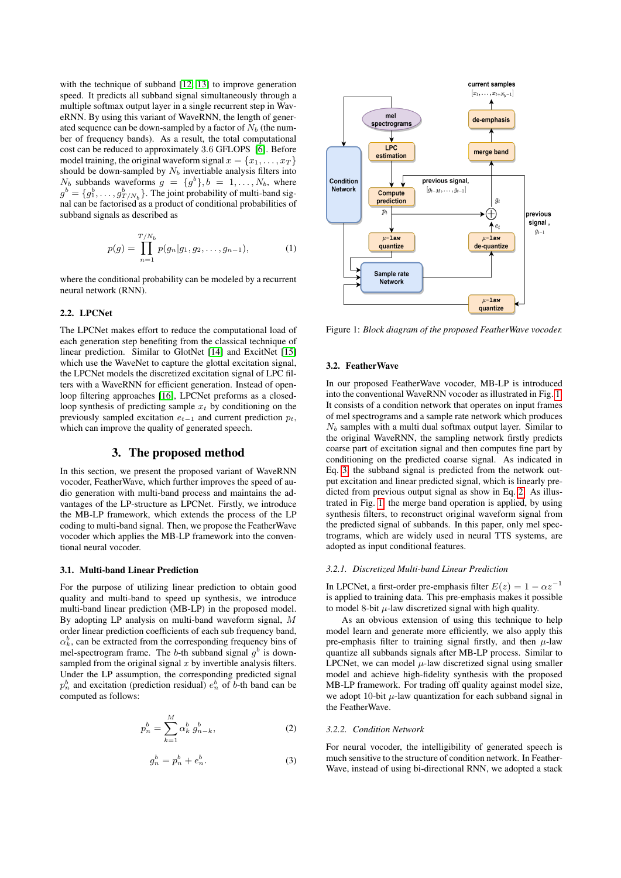with the technique of subband [\[12,](#page-4-11) [13\]](#page-4-12) to improve generation speed. It predicts all subband signal simultaneously through a multiple softmax output layer in a single recurrent step in WaveRNN. By using this variant of WaveRNN, the length of generated sequence can be down-sampled by a factor of  $N_b$  (the number of frequency bands). As a result, the total computational cost can be reduced to approximately 3.6 GFLOPS [\[6\]](#page-4-5). Before model training, the original waveform signal  $x = \{x_1, \ldots, x_T\}$ should be down-sampled by  $N_b$  invertiable analysis filters into  $N_b$  subbands waveforms  $g = \{g^b\}, b = 1, \ldots, N_b$ , where  $g^b = \{g_1^b, \ldots, g_{T/N_b}^b\}$ . The joint probability of multi-band signal can be factorised as a product of conditional probabilities of subband signals as described as

$$
p(g) = \prod_{n=1}^{T/N_b} p(g_n|g_1, g_2, \dots, g_{n-1}),
$$
 (1)

where the conditional probability can be modeled by a recurrent neural network (RNN).

## 2.2. LPCNet

The LPCNet makes effort to reduce the computational load of each generation step benefiting from the classical technique of linear prediction. Similar to GlotNet [\[14\]](#page-4-13) and ExcitNet [\[15\]](#page-4-14) which use the WaveNet to capture the glottal excitation signal, the LPCNet models the discretized excitation signal of LPC filters with a WaveRNN for efficient generation. Instead of openloop filtering approaches [\[16\]](#page-4-15), LPCNet preforms as a closedloop synthesis of predicting sample  $x_t$  by conditioning on the previously sampled excitation  $e_{t-1}$  and current prediction  $p_t$ , which can improve the quality of generated speech.

## 3. The proposed method

<span id="page-1-0"></span>In this section, we present the proposed variant of WaveRNN vocoder, FeatherWave, which further improves the speed of audio generation with multi-band process and maintains the advantages of the LP-structure as LPCNet. Firstly, we introduce the MB-LP framework, which extends the process of the LP coding to multi-band signal. Then, we propose the FeatherWave vocoder which applies the MB-LP framework into the conventional neural vocoder.

#### 3.1. Multi-band Linear Prediction

For the purpose of utilizing linear prediction to obtain good quality and multi-band to speed up synthesis, we introduce multi-band linear prediction (MB-LP) in the proposed model. By adopting LP analysis on multi-band waveform signal, M order linear prediction coefficients of each sub frequency band,  $\alpha_k^b$ , can be extracted from the corresponding frequency bins of mel-spectrogram frame. The b-th subband signal  $g<sup>b</sup>$  is downsampled from the original signal  $x$  by invertible analysis filters. Under the LP assumption, the corresponding predicted signal  $p_n^b$  and excitation (prediction residual)  $e_n^b$  of b-th band can be computed as follows:

<span id="page-1-3"></span><span id="page-1-2"></span>
$$
p_n^b = \sum_{k=1}^M \alpha_k^b \, g_{n-k}^b,\tag{2}
$$

$$
g_n^b = p_n^b + e_n^b. \tag{3}
$$

<span id="page-1-1"></span>

Figure 1: *Block diagram of the proposed FeatherWave vocoder.*

#### 3.2. FeatherWave

In our proposed FeatherWave vocoder, MB-LP is introduced into the conventional WaveRNN vocoder as illustrated in Fig. [1.](#page-1-1) It consists of a condition network that operates on input frames of mel spectrograms and a sample rate network which produces  $N_b$  samples with a multi dual softmax output layer. Similar to the original WaveRNN, the sampling network firstly predicts coarse part of excitation signal and then computes fine part by conditioning on the predicted coarse signal. As indicated in Eq. [3,](#page-1-2) the subband signal is predicted from the network output excitation and linear predicted signal, which is linearly predicted from previous output signal as show in Eq. [2.](#page-1-3) As illustrated in Fig. [1,](#page-1-1) the merge band operation is applied, by using synthesis filters, to reconstruct original waveform signal from the predicted signal of subbands. In this paper, only mel spectrograms, which are widely used in neural TTS systems, are adopted as input conditional features.

### *3.2.1. Discretized Multi-band Linear Prediction*

In LPCNet, a first-order pre-emphasis filter  $E(z) = 1 - \alpha z^{-1}$ is applied to training data. This pre-emphasis makes it possible to model 8-bit  $\mu$ -law discretized signal with high quality.

As an obvious extension of using this technique to help model learn and generate more efficiently, we also apply this pre-emphasis filter to training signal firstly, and then  $\mu$ -law quantize all subbands signals after MB-LP process. Similar to LPCNet, we can model  $\mu$ -law discretized signal using smaller model and achieve high-fidelity synthesis with the proposed MB-LP framework. For trading off quality against model size, we adopt 10-bit  $\mu$ -law quantization for each subband signal in the FeatherWave.

#### *3.2.2. Condition Network*

For neural vocoder, the intelligibility of generated speech is much sensitive to the structure of condition network. In Feather-Wave, instead of using bi-directional RNN, we adopted a stack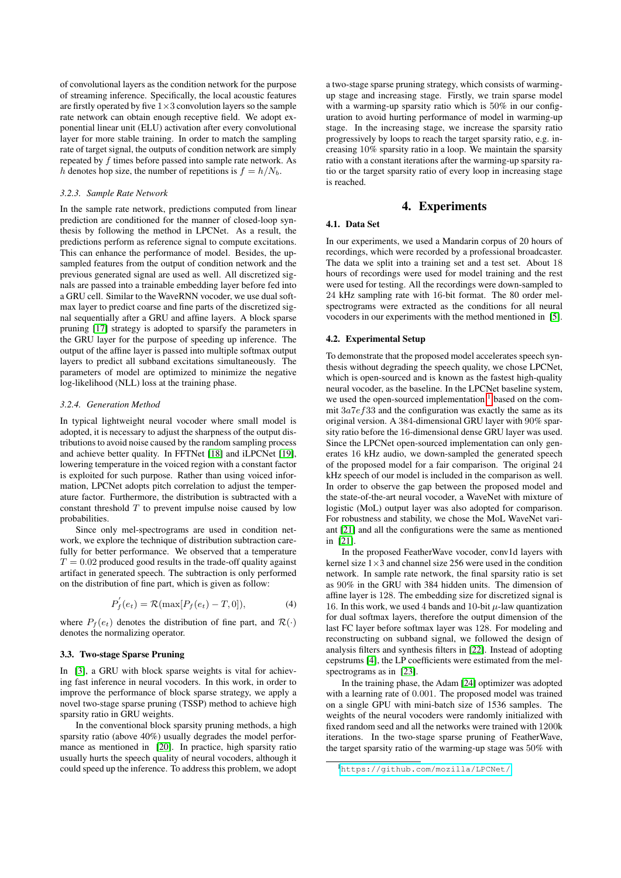of convolutional layers as the condition network for the purpose of streaming inference. Specifically, the local acoustic features are firstly operated by five  $1\times3$  convolution layers so the sample rate network can obtain enough receptive field. We adopt exponential linear unit (ELU) activation after every convolutional layer for more stable training. In order to match the sampling rate of target signal, the outputs of condition network are simply repeated by  $f$  times before passed into sample rate network. As h denotes hop size, the number of repetitions is  $f = h/N_b$ .

#### *3.2.3. Sample Rate Network*

In the sample rate network, predictions computed from linear prediction are conditioned for the manner of closed-loop synthesis by following the method in LPCNet. As a result, the predictions perform as reference signal to compute excitations. This can enhance the performance of model. Besides, the upsampled features from the output of condition network and the previous generated signal are used as well. All discretized signals are passed into a trainable embedding layer before fed into a GRU cell. Similar to the WaveRNN vocoder, we use dual softmax layer to predict coarse and fine parts of the discretized signal sequentially after a GRU and affine layers. A block sparse pruning [\[17\]](#page-4-16) strategy is adopted to sparsify the parameters in the GRU layer for the purpose of speeding up inference. The output of the affine layer is passed into multiple softmax output layers to predict all subband excitations simultaneously. The parameters of model are optimized to minimize the negative log-likelihood (NLL) loss at the training phase.

## *3.2.4. Generation Method*

In typical lightweight neural vocoder where small model is adopted, it is necessary to adjust the sharpness of the output distributions to avoid noise caused by the random sampling process and achieve better quality. In FFTNet [\[18\]](#page-4-17) and iLPCNet [\[19\]](#page-4-18), lowering temperature in the voiced region with a constant factor is exploited for such purpose. Rather than using voiced information, LPCNet adopts pitch correlation to adjust the temperature factor. Furthermore, the distribution is subtracted with a constant threshold  $T$  to prevent impulse noise caused by low probabilities.

Since only mel-spectrograms are used in condition network, we explore the technique of distribution subtraction carefully for better performance. We observed that a temperature  $T = 0.02$  produced good results in the trade-off quality against artifact in generated speech. The subtraction is only performed on the distribution of fine part, which is given as follow:

$$
P'_{f}(e_{t}) = \mathcal{R}(\max[P_{f}(e_{t}) - T, 0]),
$$
\n(4)

where  $P_f(e_t)$  denotes the distribution of fine part, and  $\mathcal{R}(\cdot)$ denotes the normalizing operator.

### 3.3. Two-stage Sparse Pruning

In [\[3\]](#page-4-2), a GRU with block sparse weights is vital for achieving fast inference in neural vocoders. In this work, in order to improve the performance of block sparse strategy, we apply a novel two-stage sparse pruning (TSSP) method to achieve high sparsity ratio in GRU weights.

In the conventional block sparsity pruning methods, a high sparsity ratio (above 40%) usually degrades the model performance as mentioned in [\[20\]](#page-4-19). In practice, high sparsity ratio usually hurts the speech quality of neural vocoders, although it could speed up the inference. To address this problem, we adopt a two-stage sparse pruning strategy, which consists of warmingup stage and increasing stage. Firstly, we train sparse model with a warming-up sparsity ratio which is 50% in our configuration to avoid hurting performance of model in warming-up stage. In the increasing stage, we increase the sparsity ratio progressively by loops to reach the target sparsity ratio, e.g. increasing 10% sparsity ratio in a loop. We maintain the sparsity ratio with a constant iterations after the warming-up sparsity ratio or the target sparsity ratio of every loop in increasing stage is reached.

## 4. Experiments

## <span id="page-2-0"></span>4.1. Data Set

In our experiments, we used a Mandarin corpus of 20 hours of recordings, which were recorded by a professional broadcaster. The data we split into a training set and a test set. About 18 hours of recordings were used for model training and the rest were used for testing. All the recordings were down-sampled to 24 kHz sampling rate with 16-bit format. The 80 order melspectrograms were extracted as the conditions for all neural vocoders in our experiments with the method mentioned in [\[5\]](#page-4-4).

### 4.2. Experimental Setup

To demonstrate that the proposed model accelerates speech synthesis without degrading the speech quality, we chose LPCNet, which is open-sourced and is known as the fastest high-quality neural vocoder, as the baseline. In the LPCNet baseline system, we used the open-sourced implementation <sup>[1](#page-2-1)</sup> based on the commit  $3a7e f 33$  and the configuration was exactly the same as its original version. A 384-dimensional GRU layer with 90% sparsity ratio before the 16-dimensional dense GRU layer was used. Since the LPCNet open-sourced implementation can only generates 16 kHz audio, we down-sampled the generated speech of the proposed model for a fair comparison. The original 24 kHz speech of our model is included in the comparison as well. In order to observe the gap between the proposed model and the state-of-the-art neural vocoder, a WaveNet with mixture of logistic (MoL) output layer was also adopted for comparison. For robustness and stability, we chose the MoL WaveNet variant [\[21\]](#page-4-20) and all the configurations were the same as mentioned in [\[21\]](#page-4-20).

In the proposed FeatherWave vocoder, conv1d layers with kernel size  $1\times3$  and channel size 256 were used in the condition network. In sample rate network, the final sparsity ratio is set as 90% in the GRU with 384 hidden units. The dimension of affine layer is 128. The embedding size for discretized signal is 16. In this work, we used 4 bands and 10-bit  $\mu$ -law quantization for dual softmax layers, therefore the output dimension of the last FC layer before softmax layer was 128. For modeling and reconstructing on subband signal, we followed the design of analysis filters and synthesis filters in [\[22\]](#page-4-21). Instead of adopting cepstrums [\[4\]](#page-4-3), the LP coefficients were estimated from the mel-spectrograms as in [\[23\]](#page-4-22).

In the training phase, the Adam [\[24\]](#page-4-23) optimizer was adopted with a learning rate of 0.001. The proposed model was trained on a single GPU with mini-batch size of 1536 samples. The weights of the neural vocoders were randomly initialized with fixed random seed and all the networks were trained with 1200k iterations. In the two-stage sparse pruning of FeatherWave, the target sparsity ratio of the warming-up stage was 50% with

<span id="page-2-1"></span><sup>1</sup><https://github.com/mozilla/LPCNet/>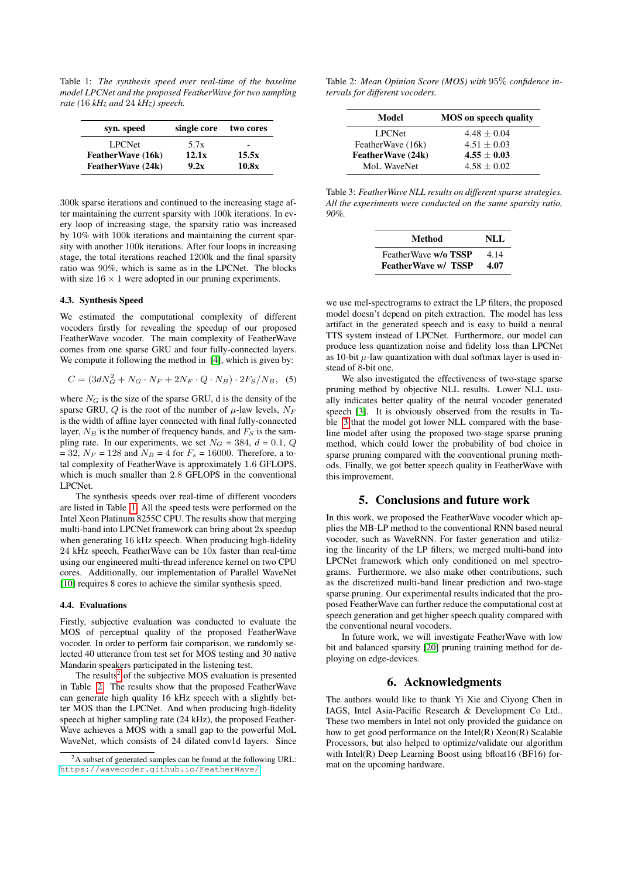<span id="page-3-1"></span>Table 1: *The synthesis speed over real-time of the baseline model LPCNet and the proposed FeatherWave for two sampling rate (*16 *kHz and* 24 *kHz) speech.*

| syn. speed         | single core | two cores |
|--------------------|-------------|-----------|
| <b>LPCNet</b>      | 5.7x        |           |
| Feather Wave (16k) | 12.1x       | 15.5x     |
| FeatherWave (24k)  | 9.2x        | 10.8x     |

300k sparse iterations and continued to the increasing stage after maintaining the current sparsity with 100k iterations. In every loop of increasing stage, the sparsity ratio was increased by 10% with 100k iterations and maintaining the current sparsity with another 100k iterations. After four loops in increasing stage, the total iterations reached 1200k and the final sparsity ratio was 90%, which is same as in the LPCNet. The blocks with size  $16 \times 1$  were adopted in our pruning experiments.

#### 4.3. Synthesis Speed

We estimated the computational complexity of different vocoders firstly for revealing the speedup of our proposed FeatherWave vocoder. The main complexity of FeatherWave comes from one sparse GRU and four fully-connected layers. We compute it following the method in [\[4\]](#page-4-3), which is given by:

$$
C = (3dN_G^2 + N_G \cdot N_F + 2N_F \cdot Q \cdot N_B) \cdot 2F_S/N_B, \quad (5)
$$

where  $N_G$  is the size of the sparse GRU, d is the density of the sparse GRU, Q is the root of the number of  $\mu$ -law levels,  $N_F$ is the width of affine layer connected with final fully-connected layer,  $N_B$  is the number of frequency bands, and  $F_S$  is the sampling rate. In our experiments, we set  $N_G = 384$ ,  $d = 0.1$ , Q  $= 32, N_F = 128$  and  $N_B = 4$  for  $F_s = 16000$ . Therefore, a total complexity of FeatherWave is approximately 1.6 GFLOPS, which is much smaller than 2.8 GFLOPS in the conventional LPCNet.

The synthesis speeds over real-time of different vocoders are listed in Table [1.](#page-3-1) All the speed tests were performed on the Intel Xeon Platinum 8255C CPU. The results show that merging multi-band into LPCNet framework can bring about 2x speedup when generating 16 kHz speech. When producing high-fidelity 24 kHz speech, FeatherWave can be 10x faster than real-time using our engineered multi-thread inference kernel on two CPU cores. Additionally, our implementation of Parallel WaveNet [\[10\]](#page-4-9) requires 8 cores to achieve the similar synthesis speed.

### 4.4. Evaluations

Firstly, subjective evaluation was conducted to evaluate the MOS of perceptual quality of the proposed FeatherWave vocoder. In order to perform fair comparison, we randomly selected 40 utterance from test set for MOS testing and 30 native Mandarin speakers participated in the listening test.

The results<sup>[2](#page-3-2)</sup> of the subjective MOS evaluation is presented in Table [2.](#page-3-3) The results show that the proposed FeatherWave can generate high quality 16 kHz speech with a slightly better MOS than the LPCNet. And when producing high-fidelity speech at higher sampling rate (24 kHz), the proposed Feather-Wave achieves a MOS with a small gap to the powerful MoL WaveNet, which consists of 24 dilated conv1d layers. Since

<span id="page-3-3"></span>Table 2: *Mean Opinion Score (MOS) with* 95% *confidence intervals for different vocoders.*

| Model             | <b>MOS</b> on speech quality |  |
|-------------------|------------------------------|--|
| <b>LPCNet</b>     | $4.48 + 0.04$                |  |
| FeatherWave (16k) | $4.51 + 0.03$                |  |
| FeatherWave (24k) | $4.55 + 0.03$                |  |
| MoL WaveNet       | $4.58 + 0.02$                |  |

<span id="page-3-4"></span>Table 3: *FeatherWave NLL results on different sparse strategies. All the experiments were conducted on the same sparsity ratio, 90%.*

| Method                     | NLL  |
|----------------------------|------|
| FeatherWave w/o TSSP       | 4.14 |
| <b>FeatherWave w/ TSSP</b> | 4.07 |

we use mel-spectrograms to extract the LP filters, the proposed model doesn't depend on pitch extraction. The model has less artifact in the generated speech and is easy to build a neural TTS system instead of LPCNet. Furthermore, our model can produce less quantization noise and fidelity loss than LPCNet as 10-bit  $\mu$ -law quantization with dual softmax layer is used instead of 8-bit one.

We also investigated the effectiveness of two-stage sparse pruning method by objective NLL results. Lower NLL usually indicates better quality of the neural vocoder generated speech [\[3\]](#page-4-2). It is obviously observed from the results in Table [3](#page-3-4) that the model got lower NLL compared with the baseline model after using the proposed two-stage sparse pruning method, which could lower the probability of bad choice in sparse pruning compared with the conventional pruning methods. Finally, we got better speech quality in FeatherWave with this improvement.

## 5. Conclusions and future work

<span id="page-3-0"></span>In this work, we proposed the FeatherWave vocoder which applies the MB-LP method to the conventional RNN based neural vocoder, such as WaveRNN. For faster generation and utilizing the linearity of the LP filters, we merged multi-band into LPCNet framework which only conditioned on mel spectrograms. Furthermore, we also make other contributions, such as the discretized multi-band linear prediction and two-stage sparse pruning. Our experimental results indicated that the proposed FeatherWave can further reduce the computational cost at speech generation and get higher speech quality compared with the conventional neural vocoders.

In future work, we will investigate FeatherWave with low bit and balanced sparsity [\[20\]](#page-4-19) pruning training method for deploying on edge-devices.

# 6. Acknowledgments

The authors would like to thank Yi Xie and Ciyong Chen in IAGS, Intel Asia-Pacific Research & Development Co Ltd.. These two members in Intel not only provided the guidance on how to get good performance on the Intel(R) Xeon(R) Scalable Processors, but also helped to optimize/validate our algorithm with Intel(R) Deep Learning Boost using bfloat16 (BF16) format on the upcoming hardware.

<span id="page-3-2"></span><sup>2</sup>A subset of generated samples can be found at the following URL: <https://wavecoder.github.io/FeatherWave/>